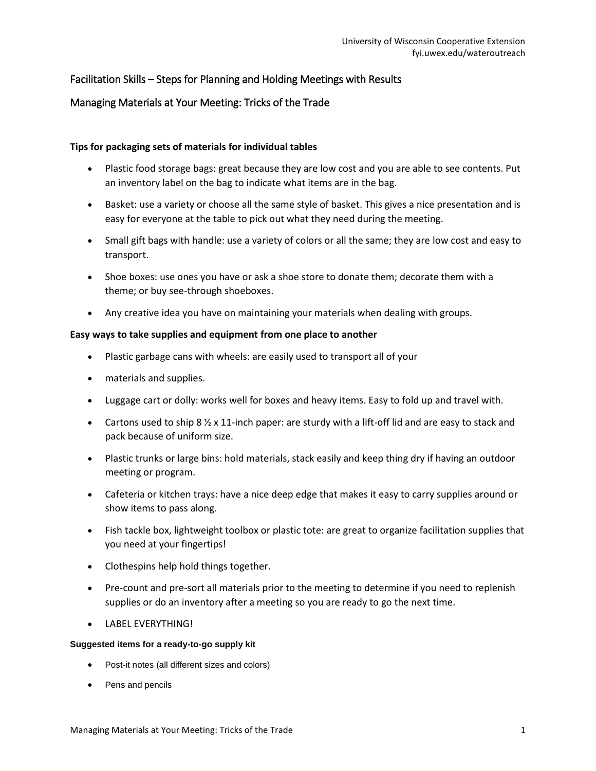# Facilitation Skills – Steps for Planning and Holding Meetings with Results

## Managing Materials at Your Meeting: Tricks of the Trade

### **Tips for packaging sets of materials for individual tables**

- Plastic food storage bags: great because they are low cost and you are able to see contents. Put an inventory label on the bag to indicate what items are in the bag.
- Basket: use a variety or choose all the same style of basket. This gives a nice presentation and is easy for everyone at the table to pick out what they need during the meeting.
- Small gift bags with handle: use a variety of colors or all the same; they are low cost and easy to transport.
- Shoe boxes: use ones you have or ask a shoe store to donate them; decorate them with a theme; or buy see-through shoeboxes.
- Any creative idea you have on maintaining your materials when dealing with groups.

### **Easy ways to take supplies and equipment from one place to another**

- Plastic garbage cans with wheels: are easily used to transport all of your
- materials and supplies.
- Luggage cart or dolly: works well for boxes and heavy items. Easy to fold up and travel with.
- Cartons used to ship 8  $\frac{1}{2}$  x 11-inch paper: are sturdy with a lift-off lid and are easy to stack and pack because of uniform size.
- Plastic trunks or large bins: hold materials, stack easily and keep thing dry if having an outdoor meeting or program.
- Cafeteria or kitchen trays: have a nice deep edge that makes it easy to carry supplies around or show items to pass along.
- Fish tackle box, lightweight toolbox or plastic tote: are great to organize facilitation supplies that you need at your fingertips!
- Clothespins help hold things together.
- Pre-count and pre-sort all materials prior to the meeting to determine if you need to replenish supplies or do an inventory after a meeting so you are ready to go the next time.
- **.** LABEL EVERYTHING!

#### **Suggested items for a ready-to-go supply kit**

- Post-it notes (all different sizes and colors)
- Pens and pencils